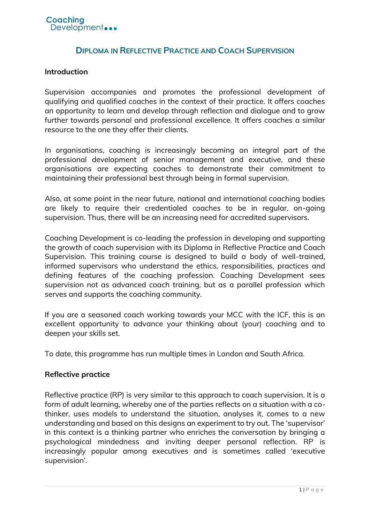# **DIPLOMA IN REFLECTIVE PRACTICE AND COACH SUPERVISION**

### **Introduction**

Supervision accompanies and promotes the professional development of qualifying and qualified coaches in the context of their practice. It offers coaches an opportunity to learn and develop through reflection and dialogue and to grow further towards personal and professional excellence. It offers coaches a similar resource to the one they offer their clients.

In organisations, coaching is increasingly becoming an integral part of the professional development of senior management and executive, and these organisations are expecting coaches to demonstrate their commitment to maintaining their professional best through being in formal supervision.

Also, at some point in the near future, national and international coaching bodies are likely to require their credentialed coaches to be in regular, on-going supervision. Thus, there will be an increasing need for accredited supervisors.

Coaching Development is co-leading the profession in developing and supporting the growth of coach supervision with its Diploma in Reflective Practice and Coach Supervision. This training course is designed to build a body of well-trained, informed supervisors who understand the ethics, responsibilities, practices and defining features of the coaching profession. Coaching Development sees supervision not as advanced coach training, but as a parallel profession which serves and supports the coaching community.

If you are a seasoned coach working towards your MCC with the ICF, this is an excellent opportunity to advance your thinking about (your) coaching and to deepen your skills set.

To date, this programme has run multiple times in London and South Africa.

### **Reflective practice**

Reflective practice (RP) is very similar to this approach to coach supervision. It is a form of adult learning, whereby one of the parties reflects on a situation with a cothinker, uses models to understand the situation, analyses it, comes to a new understanding and based on this designs an experiment to try out. The 'supervisor' in this context is a thinking partner who enriches the conversation by bringing a psychological mindedness and inviting deeper personal reflection. RP is increasingly popular among executives and is sometimes called 'executive supervision'.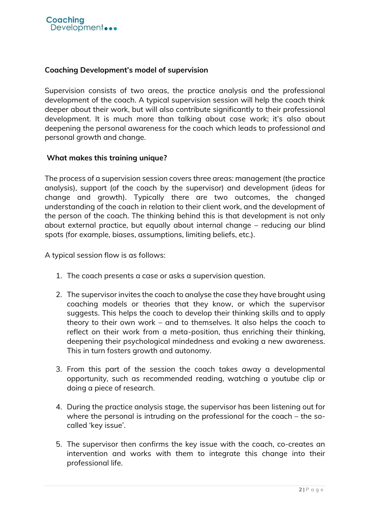### **Coaching Development's model of supervision**

Supervision consists of two areas, the practice analysis and the professional development of the coach. A typical supervision session will help the coach think deeper about their work, but will also contribute significantly to their professional development. It is much more than talking about case work; it's also about deepening the personal awareness for the coach which leads to professional and personal growth and change.

### **What makes this training unique?**

The process of a supervision session covers three areas: management (the practice analysis), support (of the coach by the supervisor) and development (ideas for change and growth). Typically there are two outcomes, the changed understanding of the coach in relation to their client work, and the development of the person of the coach. The thinking behind this is that development is not only about external practice, but equally about internal change – reducing our blind spots (for example, biases, assumptions, limiting beliefs, etc.).

A typical session flow is as follows:

- 1. The coach presents a case or asks a supervision question.
- 2. The supervisor invites the coach to analyse the case they have brought using coaching models or theories that they know, or which the supervisor suggests. This helps the coach to develop their thinking skills and to apply theory to their own work – and to themselves. It also helps the coach to reflect on their work from a meta-position, thus enriching their thinking, deepening their psychological mindedness and evoking a new awareness. This in turn fosters growth and autonomy.
- 3. From this part of the session the coach takes away a developmental opportunity, such as recommended reading, watching a youtube clip or doing a piece of research.
- 4. During the practice analysis stage, the supervisor has been listening out for where the personal is intruding on the professional for the coach – the socalled 'key issue'.
- 5. The supervisor then confirms the key issue with the coach, co-creates an intervention and works with them to integrate this change into their professional life.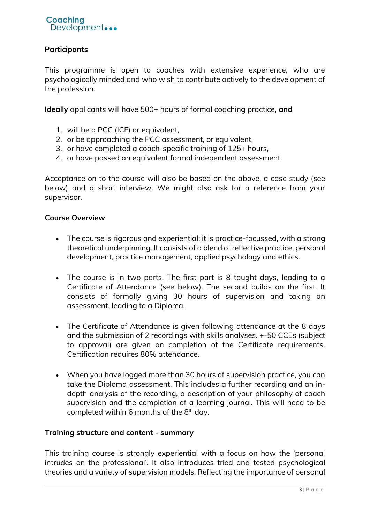## **Participants**

This programme is open to coaches with extensive experience, who are psychologically minded and who wish to contribute actively to the development of the profession.

**Ideally** applicants will have 500+ hours of formal coaching practice, **and**

- 1. will be a PCC (ICF) or equivalent,
- 2. or be approaching the PCC assessment, or equivalent,
- 3. or have completed a coach-specific training of 125+ hours,
- 4. or have passed an equivalent formal independent assessment.

Acceptance on to the course will also be based on the above, a case study (see below) and a short interview. We might also ask for a reference from your supervisor.

### **Course Overview**

- The course is rigorous and experiential; it is practice-focussed, with a strong theoretical underpinning. It consists of a blend of reflective practice, personal development, practice management, applied psychology and ethics.
- The course is in two parts. The first part is 8 taught days, leading to a Certificate of Attendance (see below). The second builds on the first. It consists of formally giving 30 hours of supervision and taking an assessment, leading to a Diploma.
- The Certificate of Attendance is given following attendance at the 8 days and the submission of 2 recordings with skills analyses. +-50 CCEs (subject to approval) are given on completion of the Certificate requirements. Certification requires 80% attendance.
- When you have logged more than 30 hours of supervision practice, you can take the Diploma assessment. This includes a further recording and an indepth analysis of the recording, a description of your philosophy of coach supervision and the completion of a learning journal. This will need to be completed within 6 months of the  $8<sup>th</sup>$  day.

### **Training structure and content - summary**

This training course is strongly experiential with a focus on how the 'personal intrudes on the professional'. It also introduces tried and tested psychological theories and a variety of supervision models. Reflecting the importance of personal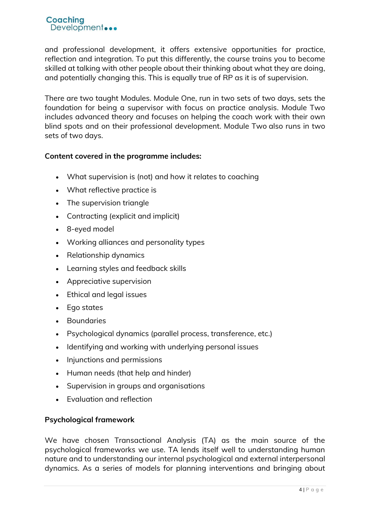and professional development, it offers extensive opportunities for practice, reflection and integration. To put this differently, the course trains you to become skilled at talking with other people about their thinking about what they are doing, and potentially changing this. This is equally true of RP as it is of supervision.

There are two taught Modules. Module One, run in two sets of two days, sets the foundation for being a supervisor with focus on practice analysis. Module Two includes advanced theory and focuses on helping the coach work with their own blind spots and on their professional development. Module Two also runs in two sets of two days.

## **Content covered in the programme includes:**

- What supervision is (not) and how it relates to coaching
- What reflective practice is
- The supervision triangle
- Contracting (explicit and implicit)
- 8-eyed model
- Working alliances and personality types
- Relationship dynamics
- Learning styles and feedback skills
- Appreciative supervision
- Ethical and legal issues
- Ego states
- Boundaries
- Psychological dynamics (parallel process, transference, etc.)
- Identifying and working with underlying personal issues
- Injunctions and permissions
- Human needs (that help and hinder)
- Supervision in groups and organisations
- Evaluation and reflection

### **Psychological framework**

We have chosen Transactional Analysis (TA) as the main source of the psychological frameworks we use. TA lends itself well to understanding human nature and to understanding our internal psychological and external interpersonal dynamics. As a series of models for planning interventions and bringing about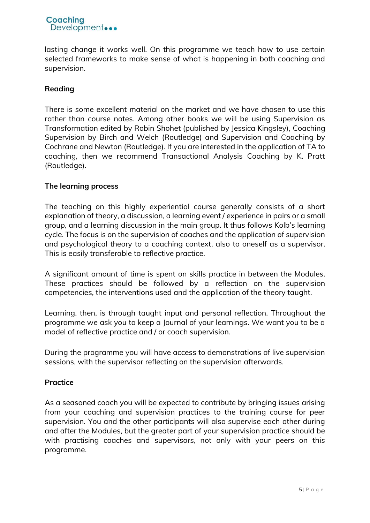

lasting change it works well. On this programme we teach how to use certain selected frameworks to make sense of what is happening in both coaching and supervision.

### **Reading**

There is some excellent material on the market and we have chosen to use this rather than course notes. Among other books we will be using Supervision as Transformation edited by Robin Shohet (published by Jessica Kingsley), Coaching Supervision by Birch and Welch (Routledge) and Supervision and Coaching by Cochrane and Newton (Routledge). If you are interested in the application of TA to coaching, then we recommend Transactional Analysis Coaching by K. Pratt (Routledge).

#### **The learning process**

The teaching on this highly experiential course generally consists of a short explanation of theory, a discussion, a learning event / experience in pairs or a small group, and a learning discussion in the main group. It thus follows Kolb's learning cycle. The focus is on the supervision of coaches and the application of supervision and psychological theory to a coaching context, also to oneself as a supervisor. This is easily transferable to reflective practice.

A significant amount of time is spent on skills practice in between the Modules. These practices should be followed by a reflection on the supervision competencies, the interventions used and the application of the theory taught.

Learning, then, is through taught input and personal reflection. Throughout the programme we ask you to keep a Journal of your learnings. We want you to be a model of reflective practice and / or coach supervision.

During the programme you will have access to demonstrations of live supervision sessions, with the supervisor reflecting on the supervision afterwards.

### **Practice**

As a seasoned coach you will be expected to contribute by bringing issues arising from your coaching and supervision practices to the training course for peer supervision. You and the other participants will also supervise each other during and after the Modules, but the greater part of your supervision practice should be with practising coaches and supervisors, not only with your peers on this programme.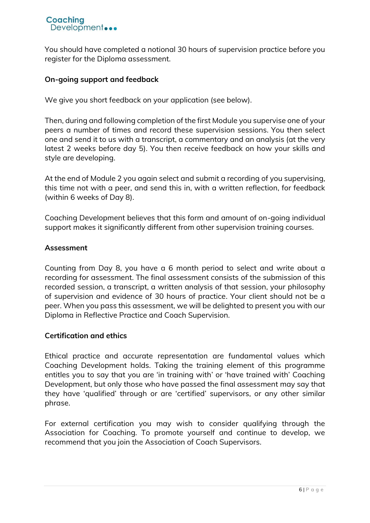

You should have completed a notional 30 hours of supervision practice before you register for the Diploma assessment.

#### **On-going support and feedback**

We give you short feedback on your application (see below).

Then, during and following completion of the first Module you supervise one of your peers a number of times and record these supervision sessions. You then select one and send it to us with a transcript, a commentary and an analysis (at the very latest 2 weeks before day 5). You then receive feedback on how your skills and style are developing.

At the end of Module 2 you again select and submit a recording of you supervising, this time not with a peer, and send this in, with a written reflection, for feedback (within 6 weeks of Day 8).

Coaching Development believes that this form and amount of on-going individual support makes it significantly different from other supervision training courses.

#### **Assessment**

Counting from Day 8, you have a 6 month period to select and write about a recording for assessment. The final assessment consists of the submission of this recorded session, a transcript, a written analysis of that session, your philosophy of supervision and evidence of 30 hours of practice. Your client should not be a peer. When you pass this assessment, we will be delighted to present you with our Diploma in Reflective Practice and Coach Supervision.

### **Certification and ethics**

Ethical practice and accurate representation are fundamental values which Coaching Development holds. Taking the training element of this programme entitles you to say that you are 'in training with' or 'have trained with' Coaching Development, but only those who have passed the final assessment may say that they have 'qualified' through or are 'certified' supervisors, or any other similar phrase.

For external certification you may wish to consider qualifying through the Association for Coaching. To promote yourself and continue to develop, we recommend that you join the Association of Coach Supervisors.